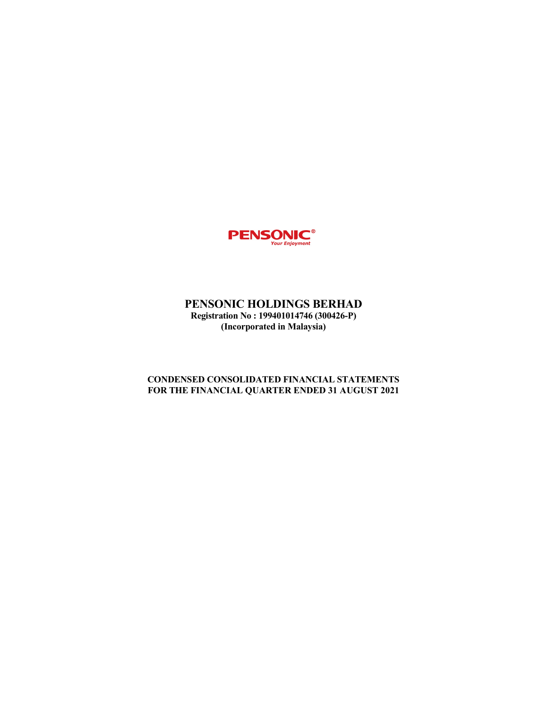

# PENSONIC HOLDINGS BERHAD Registration No : 199401014746 (300426-P) (Incorporated in Malaysia)

# CONDENSED CONSOLIDATED FINANCIAL STATEMENTS FOR THE FINANCIAL QUARTER ENDED 31 AUGUST 2021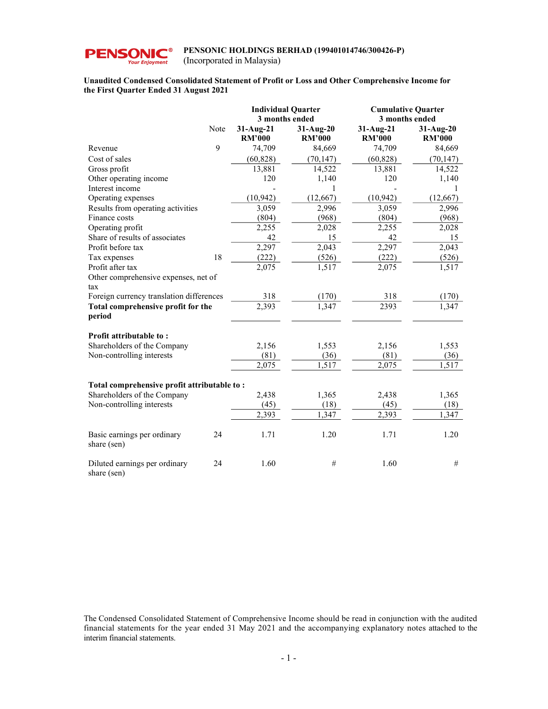

(Incorporated in Malaysia)

# Unaudited Condensed Consolidated Statement of Profit or Loss and Other Comprehensive Income for the First Quarter Ended 31 August 2021

|                                              |      | <b>Individual Quarter</b><br>3 months ended |                               | <b>Cumulative Quarter</b><br>3 months ended |                            |
|----------------------------------------------|------|---------------------------------------------|-------------------------------|---------------------------------------------|----------------------------|
|                                              | Note | $31-Aug-21$<br><b>RM'000</b>                | $31-Au$ g-20<br><b>RM'000</b> | $31-Aug-21$<br><b>RM'000</b>                | 31-Aug-20<br><b>RM'000</b> |
| Revenue                                      | 9    | 74,709                                      | 84,669                        | 74,709                                      | 84,669                     |
| Cost of sales                                |      | (60, 828)                                   | (70, 147)                     | (60, 828)                                   | (70, 147)                  |
| Gross profit                                 |      | 13,881                                      | 14,522                        | 13,881                                      | 14,522                     |
| Other operating income                       |      | 120                                         | 1,140                         | 120                                         | 1,140                      |
| Interest income                              |      |                                             | 1                             |                                             | 1                          |
| Operating expenses                           |      | (10, 942)                                   | (12, 667)                     | (10, 942)                                   | (12,667)                   |
| Results from operating activities            |      | 3,059                                       | 2,996                         | 3,059                                       | 2,996                      |
| Finance costs                                |      | (804)                                       | (968)                         | (804)                                       | (968)                      |
| Operating profit                             |      | 2,255                                       | 2,028                         | 2,255                                       | 2,028                      |
| Share of results of associates               |      | 42                                          | 15                            | 42                                          | 15                         |
| Profit before tax                            |      | 2,297                                       | 2,043                         | 2,297                                       | 2,043                      |
| Tax expenses                                 | 18   | (222)                                       | (526)                         | (222)                                       | (526)                      |
| Profit after tax                             |      | 2,075                                       | 1,517                         | 2,075                                       | 1,517                      |
| Other comprehensive expenses, net of         |      |                                             |                               |                                             |                            |
| tax                                          |      |                                             |                               |                                             |                            |
| Foreign currency translation differences     |      | 318                                         | (170)                         | 318                                         | (170)                      |
| Total comprehensive profit for the<br>period |      | $\overline{2,393}$                          | 1,347                         | 2393                                        | 1,347                      |
| Profit attributable to:                      |      |                                             |                               |                                             |                            |
| Shareholders of the Company                  |      | 2,156                                       | 1,553                         | 2,156                                       | 1,553                      |
| Non-controlling interests                    |      | (81)                                        | (36)                          | (81)                                        | (36)                       |
|                                              |      | 2,075                                       | 1,517                         | 2,075                                       | 1,517                      |
| Total comprehensive profit attributable to:  |      |                                             |                               |                                             |                            |
| Shareholders of the Company                  |      | 2,438                                       | 1,365                         | 2,438                                       | 1,365                      |
| Non-controlling interests                    |      | (45)                                        | (18)                          | (45)                                        | (18)                       |
|                                              |      | 2,393                                       | 1,347                         | 2,393                                       | 1,347                      |
|                                              |      |                                             |                               |                                             |                            |
| Basic earnings per ordinary<br>share (sen)   | 24   | 1.71                                        | 1.20                          | 1.71                                        | 1.20                       |
| Diluted earnings per ordinary<br>share (sen) | 24   | 1.60                                        | #                             | 1.60                                        | #                          |

The Condensed Consolidated Statement of Comprehensive Income should be read in conjunction with the audited financial statements for the year ended 31 May 2021 and the accompanying explanatory notes attached to the interim financial statements.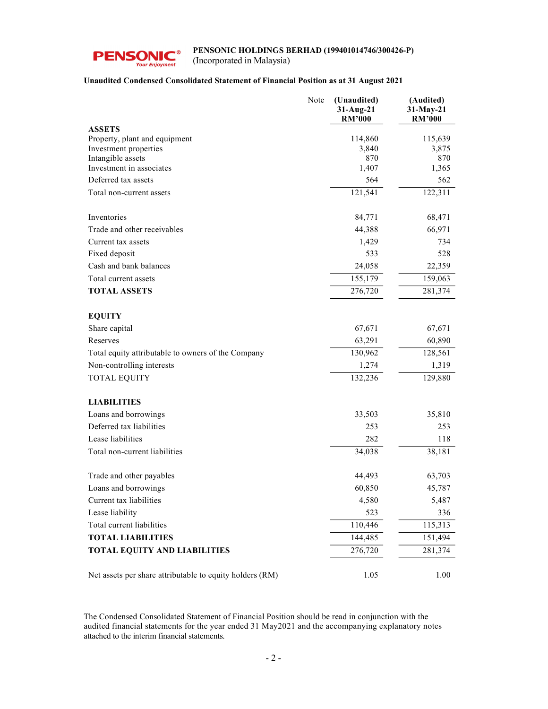

(Incorporated in Malaysia)

# Unaudited Condensed Consolidated Statement of Financial Position as at 31 August 2021

|                                                          | Note | (Unaudited)<br>31-Aug-21<br><b>RM'000</b> | (Audited)<br>31-May-21<br><b>RM'000</b> |
|----------------------------------------------------------|------|-------------------------------------------|-----------------------------------------|
| <b>ASSETS</b>                                            |      |                                           |                                         |
| Property, plant and equipment                            |      | 114,860                                   | 115,639                                 |
| Investment properties                                    |      | 3,840                                     | 3,875                                   |
| Intangible assets<br>Investment in associates            |      | 870<br>1,407                              | 870                                     |
| Deferred tax assets                                      |      | 564                                       | 1,365<br>562                            |
|                                                          |      |                                           |                                         |
| Total non-current assets                                 |      | 121,541                                   | 122,311                                 |
| Inventories                                              |      | 84,771                                    | 68,471                                  |
| Trade and other receivables                              |      | 44,388                                    | 66,971                                  |
| Current tax assets                                       |      | 1,429                                     | 734                                     |
| Fixed deposit                                            |      | 533                                       | 528                                     |
| Cash and bank balances                                   |      | 24,058                                    | 22,359                                  |
| Total current assets                                     |      | 155,179                                   | 159,063                                 |
| <b>TOTAL ASSETS</b>                                      |      | 276,720                                   | 281,374                                 |
|                                                          |      |                                           |                                         |
| <b>EQUITY</b>                                            |      |                                           |                                         |
| Share capital                                            |      | 67,671                                    | 67,671                                  |
| Reserves                                                 |      | 63,291                                    | 60,890                                  |
| Total equity attributable to owners of the Company       |      | 130,962                                   | 128,561                                 |
| Non-controlling interests                                |      | 1,274                                     | 1,319                                   |
| <b>TOTAL EQUITY</b>                                      |      | 132,236                                   | 129,880                                 |
| <b>LIABILITIES</b>                                       |      |                                           |                                         |
| Loans and borrowings                                     |      | 33,503                                    | 35,810                                  |
| Deferred tax liabilities                                 |      | 253                                       | 253                                     |
| Lease liabilities                                        |      | 282                                       | 118                                     |
| Total non-current liabilities                            |      | 34,038                                    | 38,181                                  |
|                                                          |      |                                           |                                         |
| Trade and other payables                                 |      | 44,493                                    | 63,703                                  |
| Loans and borrowings                                     |      | 60,850                                    | 45,787                                  |
| Current tax liabilities                                  |      | 4,580                                     | 5,487                                   |
| Lease liability                                          |      | 523                                       | 336                                     |
| Total current liabilities                                |      | 110,446                                   | 115,313                                 |
| <b>TOTAL LIABILITIES</b>                                 |      | 144,485                                   | 151,494                                 |
| <b>TOTAL EQUITY AND LIABILITIES</b>                      |      | 276,720                                   | 281,374                                 |
|                                                          |      |                                           |                                         |
| Net assets per share attributable to equity holders (RM) |      | 1.05                                      | 1.00                                    |

The Condensed Consolidated Statement of Financial Position should be read in conjunction with the audited financial statements for the year ended 31 May2021 and the accompanying explanatory notes attached to the interim financial statements.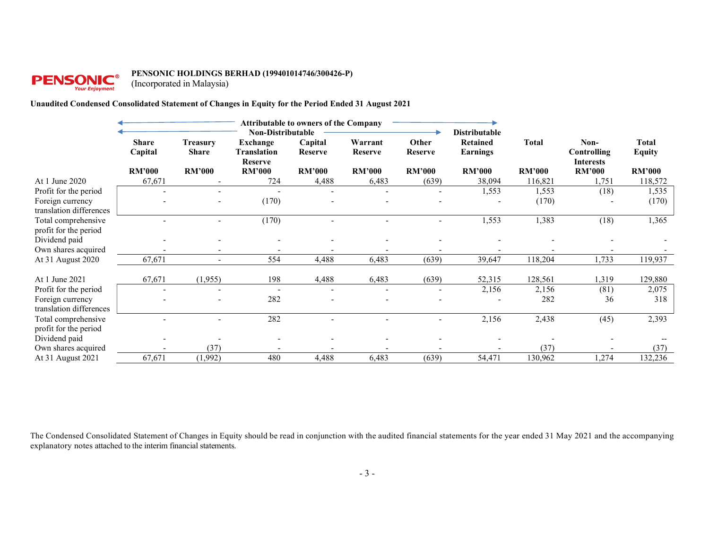# **PENSONIC®**

#### PENSONIC HOLDINGS BERHAD (199401014746/300426-P)

(Incorporated in Malaysia)

# Unaudited Condensed Consolidated Statement of Changes in Equity for the Period Ended 31 August 2021

|                                              | <b>Attributable to owners of the Company</b><br><b>Non-Distributable</b> |                                 |                                                  |                           |                    |                          | <b>Distributable</b>        |               |                                         |                               |
|----------------------------------------------|--------------------------------------------------------------------------|---------------------------------|--------------------------------------------------|---------------------------|--------------------|--------------------------|-----------------------------|---------------|-----------------------------------------|-------------------------------|
|                                              | <b>Share</b><br>Capital                                                  | <b>Treasury</b><br><b>Share</b> | <b>Exchange</b><br>Translation<br><b>Reserve</b> | Capital<br><b>Reserve</b> | Warrant<br>Reserve | Other<br><b>Reserve</b>  | <b>Retained</b><br>Earnings | <b>Total</b>  | Non-<br>Controlling<br><b>Interests</b> | <b>Total</b><br><b>Equity</b> |
|                                              | <b>RM'000</b>                                                            | <b>RM'000</b>                   | <b>RM'000</b>                                    | <b>RM'000</b>             | <b>RM'000</b>      | <b>RM'000</b>            | <b>RM'000</b>               | <b>RM'000</b> | <b>RM'000</b>                           | <b>RM'000</b>                 |
| At 1 June 2020                               | 67,671                                                                   |                                 | 724                                              | 4,488                     | 6,483              | (639)                    | 38,094                      | 116,821       | 1,751                                   | 118,572                       |
| Profit for the period                        |                                                                          |                                 |                                                  |                           |                    |                          | 1,553                       | 1,553         | (18)                                    | 1,535                         |
| Foreign currency<br>translation differences  |                                                                          |                                 | (170)                                            |                           |                    |                          |                             | (170)         |                                         | (170)                         |
| Total comprehensive<br>profit for the period |                                                                          |                                 | (170)                                            |                           |                    |                          | 1,553                       | 1,383         | (18)                                    | 1,365                         |
| Dividend paid                                |                                                                          |                                 |                                                  |                           |                    |                          |                             |               |                                         |                               |
| Own shares acquired                          |                                                                          |                                 |                                                  |                           |                    |                          |                             |               |                                         |                               |
| At 31 August 2020                            | 67,671                                                                   |                                 | 554                                              | 4,488                     | 6,483              | (639)                    | 39,647                      | 118,204       | 1,733                                   | 119,937                       |
| At 1 June 2021                               | 67,671                                                                   | (1,955)                         | 198                                              | 4,488                     | 6,483              | (639)                    | 52,315                      | 128,561       | 1,319                                   | 129,880                       |
| Profit for the period                        |                                                                          |                                 | $\overline{\phantom{a}}$                         |                           |                    | $\overline{\phantom{a}}$ | 2,156                       | 2,156         | (81)                                    | 2,075                         |
| Foreign currency<br>translation differences  |                                                                          |                                 | 282                                              |                           |                    |                          |                             | 282           | 36                                      | 318                           |
| Total comprehensive<br>profit for the period |                                                                          |                                 | 282                                              |                           |                    | $\overline{\phantom{a}}$ | 2,156                       | 2,438         | (45)                                    | 2,393                         |
| Dividend paid                                |                                                                          |                                 |                                                  |                           |                    |                          |                             |               |                                         |                               |
| Own shares acquired                          |                                                                          | (37)                            |                                                  |                           |                    |                          |                             | (37)          |                                         | (37)                          |
| At 31 August 2021                            | 67,671                                                                   | (1,992)                         | 480                                              | 4,488                     | 6,483              | (639)                    | 54,471                      | 130,962       | 1,274                                   | 132,236                       |

The Condensed Consolidated Statement of Changes in Equity should be read in conjunction with the audited financial statements for the year ended 31 May 2021 and the accompanying explanatory notes attached to the interim financial statements.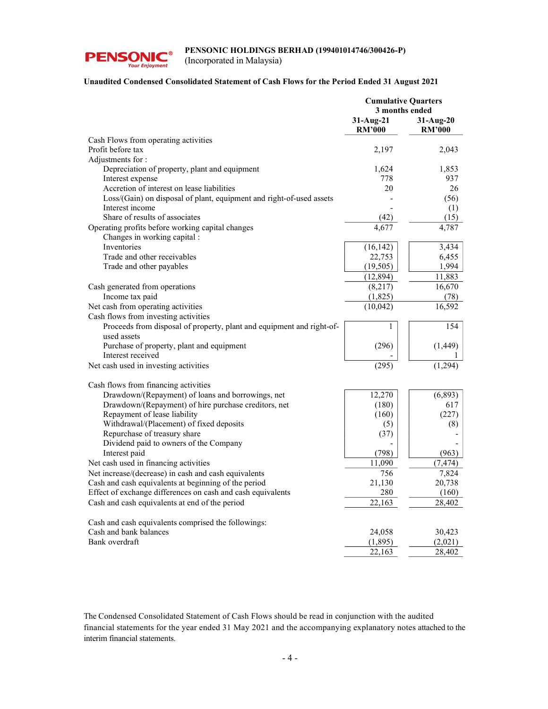

(Incorporated in Malaysia)

# Unaudited Condensed Consolidated Statement of Cash Flows for the Period Ended 31 August 2021

|                                                                                      | <b>Cumulative Quarters</b><br>3 months ended |                            |
|--------------------------------------------------------------------------------------|----------------------------------------------|----------------------------|
|                                                                                      | 31-Aug-21<br><b>RM'000</b>                   | 31-Aug-20<br><b>RM'000</b> |
| Cash Flows from operating activities                                                 |                                              |                            |
| Profit before tax                                                                    | 2,197                                        | 2.043                      |
| Adjustments for:                                                                     |                                              |                            |
| Depreciation of property, plant and equipment                                        | 1,624                                        | 1,853                      |
| Interest expense                                                                     | 778                                          | 937                        |
| Accretion of interest on lease liabilities                                           | 20                                           | 26                         |
| Loss/(Gain) on disposal of plant, equipment and right-of-used assets                 |                                              | (56)                       |
| Interest income                                                                      |                                              | (1)                        |
| Share of results of associates                                                       | (42)                                         | (15)                       |
| Operating profits before working capital changes                                     | 4,677                                        | 4,787                      |
| Changes in working capital :                                                         |                                              |                            |
| Inventories                                                                          | (16, 142)                                    | 3,434                      |
| Trade and other receivables                                                          | 22,753                                       | 6,455                      |
| Trade and other payables                                                             | (19, 505)                                    | 1,994                      |
|                                                                                      | (12, 894)                                    | 11,883                     |
| Cash generated from operations                                                       | (8,217)                                      | 16,670                     |
| Income tax paid                                                                      | (1,825)                                      | (78)                       |
| Net cash from operating activities                                                   | (10,042)                                     | 16,592                     |
| Cash flows from investing activities                                                 |                                              |                            |
| Proceeds from disposal of property, plant and equipment and right-of-<br>used assets | 1                                            | 154                        |
| Purchase of property, plant and equipment                                            | (296)                                        | (1, 449)                   |
| Interest received                                                                    |                                              |                            |
| Net cash used in investing activities                                                | (295)                                        | (1, 294)                   |
|                                                                                      |                                              |                            |
| Cash flows from financing activities                                                 |                                              |                            |
| Drawdown/(Repayment) of loans and borrowings, net                                    | 12,270                                       | (6,893)                    |
| Drawdown/(Repayment) of hire purchase creditors, net                                 | (180)                                        | 617                        |
| Repayment of lease liability                                                         | (160)                                        | (227)                      |
| Withdrawal/(Placement) of fixed deposits                                             | (5)                                          | (8)                        |
| Repurchase of treasury share                                                         | (37)                                         |                            |
| Dividend paid to owners of the Company                                               |                                              |                            |
| Interest paid                                                                        | (798)                                        | (963)                      |
| Net cash used in financing activities                                                | 11,090                                       | (7, 474)                   |
| Net increase/(decrease) in cash and cash equivalents                                 | 756                                          | 7,824                      |
| Cash and cash equivalents at beginning of the period                                 | 21,130                                       | 20,738                     |
| Effect of exchange differences on cash and cash equivalents                          | 280                                          | (160)                      |
| Cash and cash equivalents at end of the period                                       | 22,163                                       | 28,402                     |
| Cash and cash equivalents comprised the followings:                                  |                                              |                            |
| Cash and bank balances                                                               | 24,058                                       | 30,423                     |
| Bank overdraft                                                                       | (1, 895)                                     | (2,021)                    |
|                                                                                      | 22,163                                       | 28,402                     |

The Condensed Consolidated Statement of Cash Flows should be read in conjunction with the audited financial statements for the year ended 31 May 2021 and the accompanying explanatory notes attached to the interim financial statements.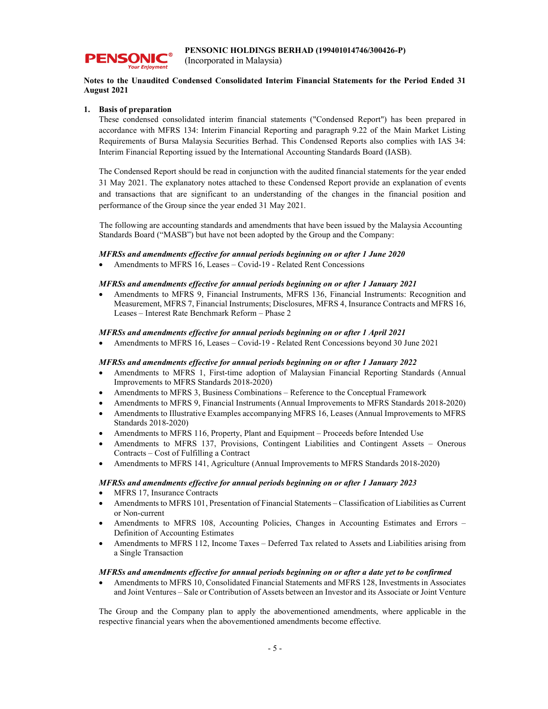

(Incorporated in Malaysia)

# Notes to the Unaudited Condensed Consolidated Interim Financial Statements for the Period Ended 31 August 2021

# 1. Basis of preparation

These condensed consolidated interim financial statements ("Condensed Report") has been prepared in accordance with MFRS 134: Interim Financial Reporting and paragraph 9.22 of the Main Market Listing Requirements of Bursa Malaysia Securities Berhad. This Condensed Reports also complies with IAS 34: Interim Financial Reporting issued by the International Accounting Standards Board (IASB).

The Condensed Report should be read in conjunction with the audited financial statements for the year ended 31 May 2021. The explanatory notes attached to these Condensed Report provide an explanation of events and transactions that are significant to an understanding of the changes in the financial position and performance of the Group since the year ended 31 May 2021.

The following are accounting standards and amendments that have been issued by the Malaysia Accounting Standards Board ("MASB") but have not been adopted by the Group and the Company:

# MFRSs and amendments effective for annual periods beginning on or after 1 June 2020

Amendments to MFRS 16, Leases – Covid-19 - Related Rent Concessions

# MFRSs and amendments effective for annual periods beginning on or after 1 January 2021

 Amendments to MFRS 9, Financial Instruments, MFRS 136, Financial Instruments: Recognition and Measurement, MFRS 7, Financial Instruments; Disclosures, MFRS 4, Insurance Contracts and MFRS 16, Leases – Interest Rate Benchmark Reform – Phase 2

# MFRSs and amendments effective for annual periods beginning on or after 1 April 2021

Amendments to MFRS 16, Leases – Covid-19 - Related Rent Concessions beyond 30 June 2021

# MFRSs and amendments effective for annual periods beginning on or after 1 January 2022

- Amendments to MFRS 1, First-time adoption of Malaysian Financial Reporting Standards (Annual Improvements to MFRS Standards 2018-2020)
- Amendments to MFRS 3, Business Combinations Reference to the Conceptual Framework
- Amendments to MFRS 9, Financial Instruments (Annual Improvements to MFRS Standards 2018-2020)
- Amendments to Illustrative Examples accompanying MFRS 16, Leases (Annual Improvements to MFRS Standards 2018-2020)
- Amendments to MFRS 116, Property, Plant and Equipment Proceeds before Intended Use
- Amendments to MFRS 137, Provisions, Contingent Liabilities and Contingent Assets Onerous Contracts – Cost of Fulfilling a Contract
- Amendments to MFRS 141, Agriculture (Annual Improvements to MFRS Standards 2018-2020)

# MFRSs and amendments effective for annual periods beginning on or after 1 January 2023

- MFRS 17, Insurance Contracts
- Amendments to MFRS 101, Presentation of Financial Statements Classification of Liabilities as Current or Non-current
- Amendments to MFRS 108, Accounting Policies, Changes in Accounting Estimates and Errors Definition of Accounting Estimates
- Amendments to MFRS 112, Income Taxes Deferred Tax related to Assets and Liabilities arising from a Single Transaction

# MFRSs and amendments effective for annual periods beginning on or after a date yet to be confirmed

 Amendments to MFRS 10, Consolidated Financial Statements and MFRS 128, Investments in Associates and Joint Ventures – Sale or Contribution of Assets between an Investor and its Associate or Joint Venture

The Group and the Company plan to apply the abovementioned amendments, where applicable in the respective financial years when the abovementioned amendments become effective.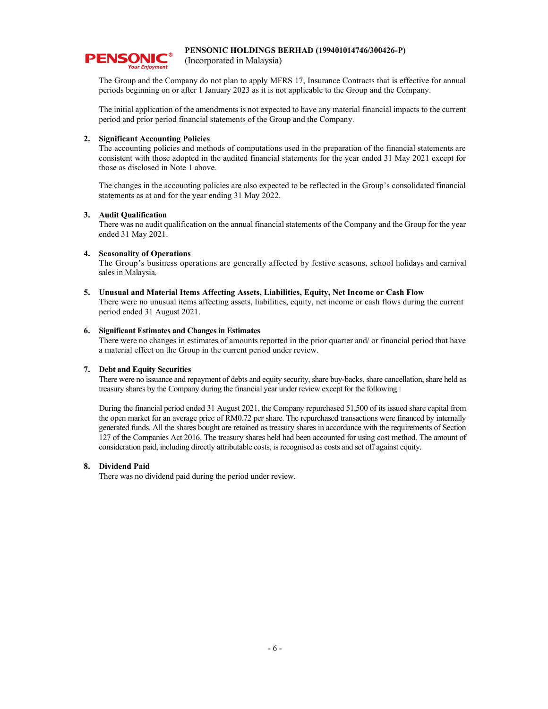

(Incorporated in Malaysia)

The Group and the Company do not plan to apply MFRS 17, Insurance Contracts that is effective for annual periods beginning on or after 1 January 2023 as it is not applicable to the Group and the Company.

The initial application of the amendments is not expected to have any material financial impacts to the current period and prior period financial statements of the Group and the Company.

# 2. Significant Accounting Policies

The accounting policies and methods of computations used in the preparation of the financial statements are consistent with those adopted in the audited financial statements for the year ended 31 May 2021 except for those as disclosed in Note 1 above.

The changes in the accounting policies are also expected to be reflected in the Group's consolidated financial statements as at and for the year ending 31 May 2022.

## 3. Audit Qualification

 There was no audit qualification on the annual financial statements of the Company and the Group for the year ended 31 May 2021.

## 4. Seasonality of Operations

 The Group's business operations are generally affected by festive seasons, school holidays and carnival sales in Malaysia.

#### 5. Unusual and Material Items Affecting Assets, Liabilities, Equity, Net Income or Cash Flow

There were no unusual items affecting assets, liabilities, equity, net income or cash flows during the current period ended 31 August 2021.

#### 6. Significant Estimates and Changes in Estimates

There were no changes in estimates of amounts reported in the prior quarter and/ or financial period that have a material effect on the Group in the current period under review.

#### 7. Debt and Equity Securities

There were no issuance and repayment of debts and equity security, share buy-backs, share cancellation, share held as treasury shares by the Company during the financial year under review except for the following :

During the financial period ended 31 August 2021, the Company repurchased 51,500 of its issued share capital from the open market for an average price of RM0.72 per share. The repurchased transactions were financed by internally generated funds. All the shares bought are retained as treasury shares in accordance with the requirements of Section 127 of the Companies Act 2016. The treasury shares held had been accounted for using cost method. The amount of consideration paid, including directly attributable costs, is recognised as costs and set off against equity.

#### 8. Dividend Paid

There was no dividend paid during the period under review.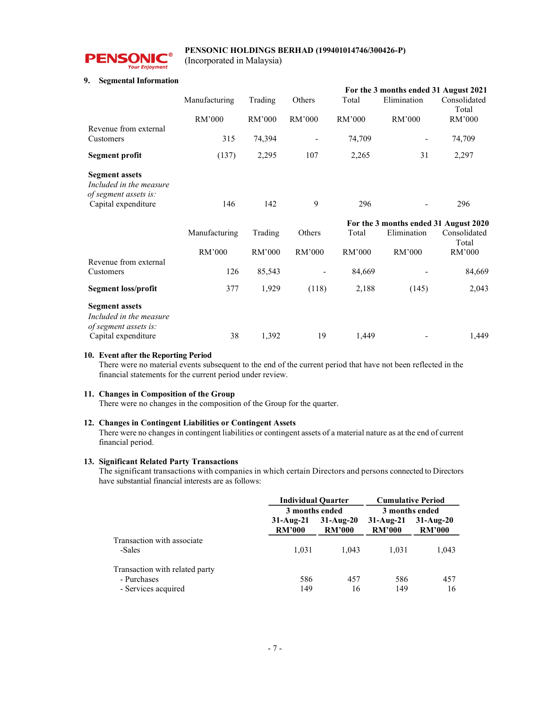

(Incorporated in Malaysia)

## 9. Segmental Information

|                                                                           |               |         |        |        | For the 3 months ended 31 August 2021 |                       |
|---------------------------------------------------------------------------|---------------|---------|--------|--------|---------------------------------------|-----------------------|
|                                                                           | Manufacturing | Trading | Others | Total  | Elimination                           | Consolidated<br>Total |
|                                                                           | RM'000        | RM'000  | RM'000 | RM'000 | RM'000                                | RM'000                |
| Revenue from external                                                     |               |         |        |        |                                       |                       |
| Customers                                                                 | 315           | 74,394  |        | 74,709 |                                       | 74,709                |
| Segment profit                                                            | (137)         | 2,295   | 107    | 2,265  | 31                                    | 2,297                 |
| <b>Segment assets</b><br>Included in the measure<br>of segment assets is: |               |         |        |        |                                       |                       |
| Capital expenditure                                                       | 146           | 142     | 9      | 296    |                                       | 296                   |
|                                                                           |               |         |        |        | For the 3 months ended 31 August 2020 |                       |
|                                                                           | Manufacturing | Trading | Others | Total  | Elimination                           | Consolidated<br>Total |
|                                                                           | RM'000        | RM'000  | RM'000 | RM'000 | RM'000                                | RM'000                |
| Revenue from external<br>Customers                                        | 126           | 85,543  |        | 84,669 |                                       | 84,669                |
|                                                                           |               |         |        |        |                                       |                       |
|                                                                           |               |         |        |        |                                       |                       |
| <b>Segment loss/profit</b>                                                | 377           | 1,929   | (118)  | 2,188  | (145)                                 | 2,043                 |
| <b>Segment assets</b><br>Included in the measure<br>of segment assets is: |               |         |        |        |                                       |                       |

# 10. Event after the Reporting Period

There were no material events subsequent to the end of the current period that have not been reflected in the financial statements for the current period under review.

#### 11. Changes in Composition of the Group

There were no changes in the composition of the Group for the quarter.

# 12. Changes in Contingent Liabilities or Contingent Assets

There were no changes in contingent liabilities or contingent assets of a material nature as at the end of current financial period.

## 13. Significant Related Party Transactions

 The significant transactions with companies in which certain Directors and persons connected to Directors have substantial financial interests are as follows:

|                                      | <b>Individual Quarter</b>    |                              | <b>Cumulative Period</b><br>3 months ended |                              |
|--------------------------------------|------------------------------|------------------------------|--------------------------------------------|------------------------------|
|                                      | 3 months ended               |                              |                                            |                              |
|                                      | $31-Auq-21$<br><b>RM'000</b> | $31-Auq-20$<br><b>RM'000</b> | $31-Au2-21$<br><b>RM'000</b>               | $31-Au2-20$<br><b>RM'000</b> |
| Transaction with associate<br>-Sales | 1.031                        | 1.043                        | 1.031                                      | 1,043                        |
| Transaction with related party       |                              |                              |                                            |                              |
| - Purchases                          | 586                          | 457                          | 586                                        | 457                          |
| - Services acquired                  | 149                          | 16                           | 149                                        | 16                           |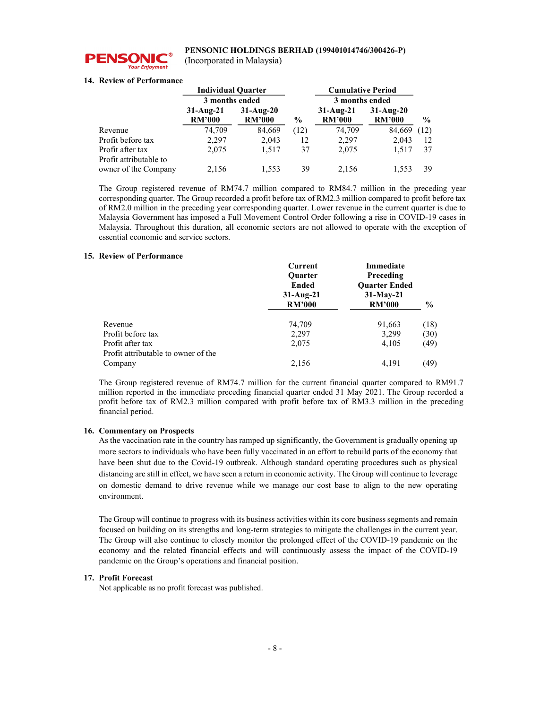

(Incorporated in Malaysia)

# 14. Review of Performance

| <b>Individual Quarter</b> |                              |                              |               | <b>Cumulative Period</b>     |                              |               |
|---------------------------|------------------------------|------------------------------|---------------|------------------------------|------------------------------|---------------|
|                           | 3 months ended               |                              |               | 3 months ended               |                              |               |
|                           | $31-Aug-21$<br><b>RM'000</b> | $31-Au2-20$<br><b>RM'000</b> | $\frac{6}{9}$ | $31-Auq-21$<br><b>RM'000</b> | $31-Aug-20$<br><b>RM'000</b> | $\frac{6}{9}$ |
| Revenue                   | 74,709                       | 84,669                       | (12)          | 74,709                       | 84,669                       | (12)          |
| Profit before tax         | 2,297                        | 2,043                        | 12            | 2,297                        | 2.043                        | 12            |
| Profit after tax          | 2,075                        | 1.517                        | 37            | 2,075                        | 1,517                        | 37            |
| Profit attributable to    |                              |                              |               |                              |                              |               |
| owner of the Company      | 2,156                        | 1,553                        | 39            | 2.156                        | 1,553                        | 39            |

The Group registered revenue of RM74.7 million compared to RM84.7 million in the preceding year corresponding quarter. The Group recorded a profit before tax of RM2.3 million compared to profit before tax of RM2.0 million in the preceding year corresponding quarter. Lower revenue in the current quarter is due to Malaysia Government has imposed a Full Movement Control Order following a rise in COVID-19 cases in Malaysia. Throughout this duration, all economic sectors are not allowed to operate with the exception of essential economic and service sectors.

# 15. Review of Performance

|                                     | Current                     | <b>Immediate</b>     |               |
|-------------------------------------|-----------------------------|----------------------|---------------|
|                                     | <b>Ouarter</b>              | Preceding            |               |
|                                     | <b>Ended</b><br>$31-Aug-21$ | <b>Ouarter Ended</b> |               |
|                                     |                             | $31-May-21$          |               |
|                                     | <b>RM'000</b>               | <b>RM'000</b>        | $\frac{6}{9}$ |
| Revenue                             | 74,709                      | 91,663               | (18)          |
| Profit before tax                   | 2,297                       | 3,299                | (30)          |
| Profit after tax                    | 2,075                       | 4,105                | (49)          |
| Profit attributable to owner of the |                             |                      |               |
| Company                             | 2,156                       | 4,191                | (49)          |

The Group registered revenue of RM74.7 million for the current financial quarter compared to RM91.7 million reported in the immediate preceding financial quarter ended 31 May 2021. The Group recorded a profit before tax of RM2.3 million compared with profit before tax of RM3.3 million in the preceding financial period.

# 16. Commentary on Prospects

As the vaccination rate in the country has ramped up significantly, the Government is gradually opening up more sectors to individuals who have been fully vaccinated in an effort to rebuild parts of the economy that have been shut due to the Covid-19 outbreak. Although standard operating procedures such as physical distancing are still in effect, we have seen a return in economic activity. The Group will continue to leverage on domestic demand to drive revenue while we manage our cost base to align to the new operating environment.

The Group will continue to progress with its business activities within its core business segments and remain focused on building on its strengths and long-term strategies to mitigate the challenges in the current year. The Group will also continue to closely monitor the prolonged effect of the COVID-19 pandemic on the economy and the related financial effects and will continuously assess the impact of the COVID-19 pandemic on the Group's operations and financial position.

# 17. Profit Forecast

Not applicable as no profit forecast was published.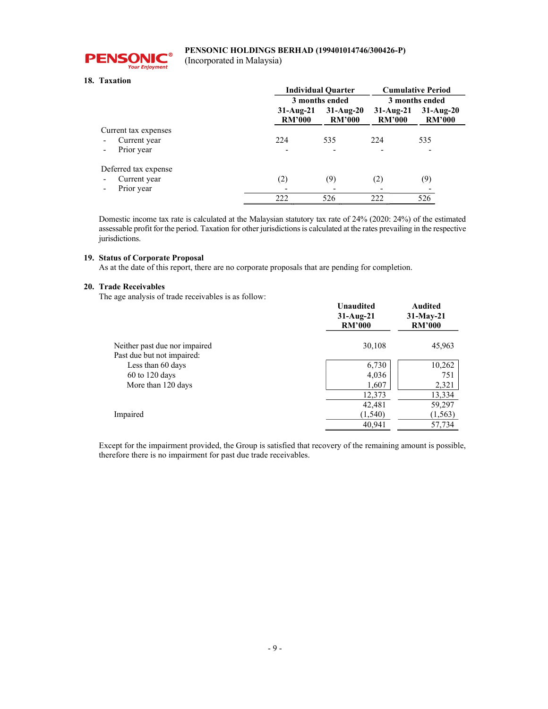

(Incorporated in Malaysia)

# 18. Taxation

|                                          | <b>Individual Quarter</b>    | <b>Cumulative Period</b>      |                              |                              |
|------------------------------------------|------------------------------|-------------------------------|------------------------------|------------------------------|
|                                          |                              | 3 months ended                |                              | 3 months ended               |
|                                          | $31-Aug-21$<br><b>RM'000</b> | $31-Au$ g-20<br><b>RM'000</b> | $31-Aug-21$<br><b>RM'000</b> | $31-Aug-20$<br><b>RM'000</b> |
| Current tax expenses                     |                              |                               |                              |                              |
| Current year<br>$\overline{\phantom{a}}$ | 224                          | 535                           | 224                          | 535                          |
| Prior year                               |                              |                               |                              |                              |
| Deferred tax expense                     |                              |                               |                              |                              |
| Current year                             | (2)                          | (9)                           | (2)                          | (9)                          |
| Prior year                               |                              |                               |                              |                              |
|                                          | 222                          | 526                           | 222                          | 526                          |

Domestic income tax rate is calculated at the Malaysian statutory tax rate of 24% (2020: 24%) of the estimated assessable profit for the period. Taxation for other jurisdictions is calculated at the rates prevailing in the respective jurisdictions.

# 19. Status of Corporate Proposal

As at the date of this report, there are no corporate proposals that are pending for completion.

# 20. Trade Receivables

The age analysis of trade receivables is as follow:

| who will have a moment in the second the second in the | <b>Unaudited</b><br>$31-Au2-21$<br><b>RM'000</b> | <b>Audited</b><br>$31-May-21$<br><b>RM'000</b> |
|--------------------------------------------------------|--------------------------------------------------|------------------------------------------------|
| Neither past due nor impaired                          | 30,108                                           | 45,963                                         |
| Past due but not impaired:                             |                                                  |                                                |
| Less than 60 days                                      | 6,730                                            | 10,262                                         |
| $60$ to 120 days                                       | 4,036                                            | 751                                            |
| More than 120 days                                     | 1,607                                            | 2,321                                          |
|                                                        | 12,373                                           | 13,334                                         |
|                                                        | 42,481                                           | 59,297                                         |
| Impaired                                               | (1, 540)                                         | (1, 563)                                       |
|                                                        | 40,941                                           | 57,734                                         |

Except for the impairment provided, the Group is satisfied that recovery of the remaining amount is possible, therefore there is no impairment for past due trade receivables.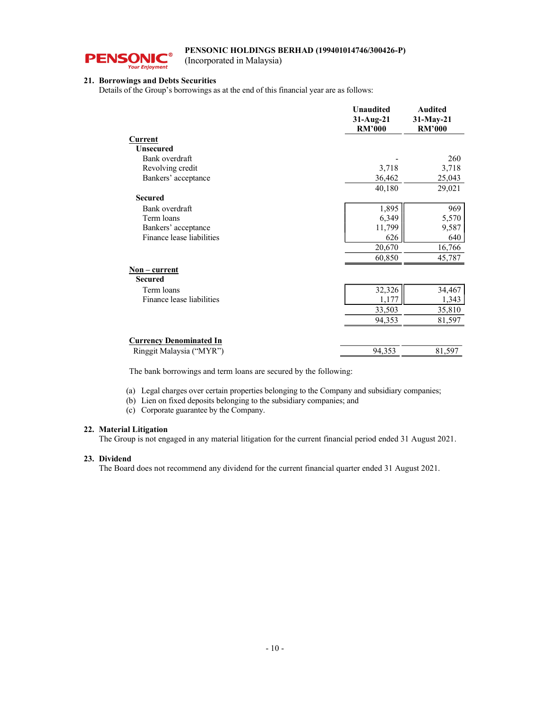

(Incorporated in Malaysia)

# 21. Borrowings and Debts Securities

Details of the Group's borrowings as at the end of this financial year are as follows:

|                                | <b>Unaudited</b><br>$31-Aug-21$<br><b>RM'000</b> | <b>Audited</b><br>$31-May-21$<br><b>RM'000</b> |
|--------------------------------|--------------------------------------------------|------------------------------------------------|
| Current                        |                                                  |                                                |
| <b>Unsecured</b>               |                                                  |                                                |
| Bank overdraft                 |                                                  | 260                                            |
| Revolving credit               | 3,718                                            | 3,718                                          |
| Bankers' acceptance            | 36,462                                           | 25,043                                         |
|                                | 40,180                                           | 29,021                                         |
| <b>Secured</b>                 |                                                  |                                                |
| Bank overdraft                 | 1,895                                            | 969                                            |
| Term loans                     | 6,349                                            | 5,570                                          |
| Bankers' acceptance            | 11,799                                           | 9,587                                          |
| Finance lease liabilities      | 626                                              | 640                                            |
|                                | 20,670                                           | 16,766                                         |
|                                | 60,850                                           | 45,787                                         |
| Non – current                  |                                                  |                                                |
| <b>Secured</b>                 |                                                  |                                                |
| Term loans                     | 32,326                                           | 34,467                                         |
| Finance lease liabilities      | 1,177                                            | 1,343                                          |
|                                | 33,503                                           | 35,810                                         |
|                                | 94,353                                           | 81,597                                         |
| <b>Currency Denominated In</b> |                                                  |                                                |
| Ringgit Malaysia ("MYR")       | 94,353                                           | 81,597                                         |
|                                |                                                  |                                                |

The bank borrowings and term loans are secured by the following:

(a) Legal charges over certain properties belonging to the Company and subsidiary companies;

(b) Lien on fixed deposits belonging to the subsidiary companies; and

(c) Corporate guarantee by the Company.

# 22. Material Litigation

The Group is not engaged in any material litigation for the current financial period ended 31 August 2021.

# 23. Dividend

The Board does not recommend any dividend for the current financial quarter ended 31 August 2021.